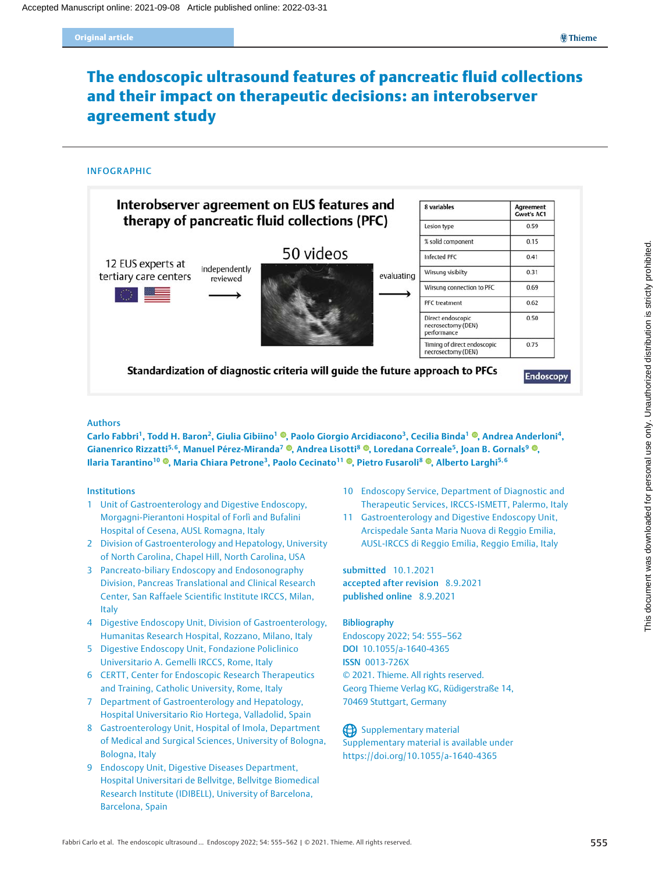# The endoscopic ultrasound features of pancreatic fluid collections and their impact on therapeutic decisions: an interobserver agreement study

### INFOGRAPHIC



### Authors

Carlo Fabbri<sup>1</sup>[,](https://orcid.org/0000-0003-1148-9684) Todd H. Baron<sup>2</sup>, Giulia Gibiino<sup>1</sup> ®, Paolo Giorgio Arcidiacono<sup>3</sup>, Cecilia Binda<sup>1</sup> ®, Andrea Anderloni<sup>4</sup>, Gianenrico Rizzatti<sup>5[,](https://orcid.org/0000-0001-8857-3556)6</sup>, Manuel Pérez-Miranda<sup>7</sup> ®, Andrea Lisotti<sup>8</sup> ®, Loredana Correale<sup>5</sup>, Joan B. Gornals<sup>9</sup> ®, Ilaria Tarantino<sup>10</sup> ®[,](https://orcid.org/0000-0002-4397-9314) Maria Chiara Petrone<sup>3</sup>, Paolo Cecinato<sup>11</sup> ®, Pietro Fusaroli<sup>8</sup> ®, Alberto Larghi<sup>5,6</sup>

### Institutions

- 1 Unit of Gastroenterology and Digestive Endoscopy, Morgagni-Pierantoni Hospital of Forlì and Bufalini Hospital of Cesena, AUSL Romagna, Italy
- 2 Division of Gastroenterology and Hepatology, University of North Carolina, Chapel Hill, North Carolina, USA
- 3 Pancreato-biliary Endoscopy and Endosonography Division, Pancreas Translational and Clinical Research Center, San Raffaele Scientific Institute IRCCS, Milan, Italy
- 4 Digestive Endoscopy Unit, Division of Gastroenterology, Humanitas Research Hospital, Rozzano, Milano, Italy
- 5 Digestive Endoscopy Unit, Fondazione Policlinico Universitario A. Gemelli IRCCS, Rome, Italy
- 6 CERTT, Center for Endoscopic Research Therapeutics and Training, Catholic University, Rome, Italy
- 7 Department of Gastroenterology and Hepatology, Hospital Universitario Rio Hortega, Valladolid, Spain
- 8 Gastroenterology Unit, Hospital of Imola, Department of Medical and Surgical Sciences, University of Bologna, Bologna, Italy
- 9 Endoscopy Unit, Digestive Diseases Department, Hospital Universitari de Bellvitge, Bellvitge Biomedical Research Institute (IDIBELL), University of Barcelona, Barcelona, Spain
- 10 Endoscopy Service, Department of Diagnostic and Therapeutic Services, IRCCS-ISMETT, Palermo, Italy
- 11 Gastroenterology and Digestive Endoscopy Unit, Arcispedale Santa Maria Nuova di Reggio Emilia, AUSL-IRCCS di Reggio Emilia, Reggio Emilia, Italy

submitted 10.1.2021 accepted after revision 8.9.2021 published online 8.9.2021

### Bibliography

Endoscopy 2022; 54: 555–562 DOI 10.1055/a-1640-4365 ISSN 0013-726X © 2021. Thieme. All rights reserved. Georg Thieme Verlag KG, Rüdigerstraße 14, 70469 Stuttgart, Germany

### Supplementary material

Supplementary material is available under https://doi.org/10.1055/a-1640-4365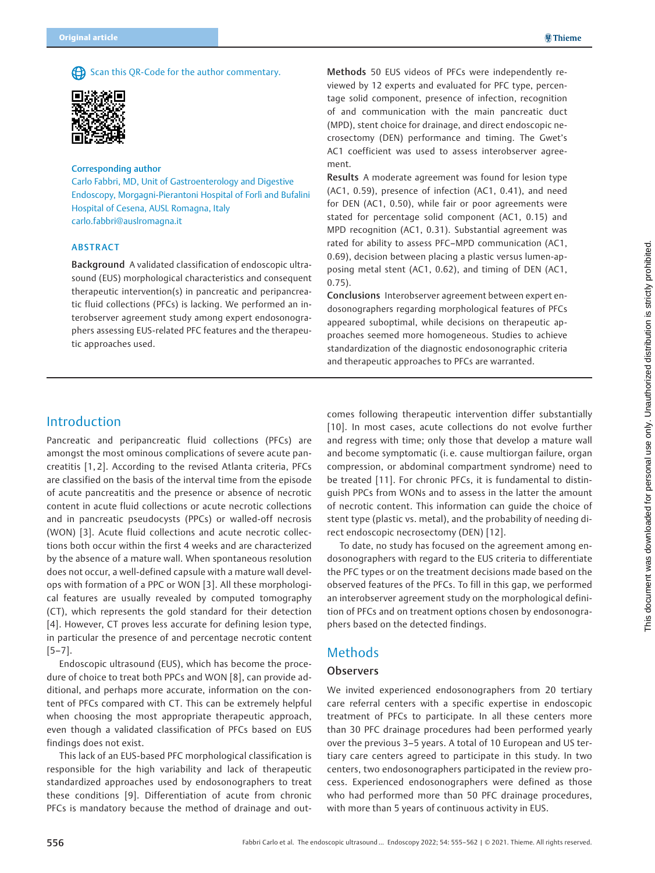Scan this QR-Code for the author commentary.



#### Corresponding author

Carlo Fabbri, MD, Unit of Gastroenterology and Digestive Endoscopy, Morgagni-Pierantoni Hospital of Forlì and Bufalini Hospital of Cesena, AUSL Romagna, Italy carlo.fabbri@auslromagna.it

### ABSTRACT

Background A validated classification of endoscopic ultrasound (EUS) morphological characteristics and consequent therapeutic intervention(s) in pancreatic and peripancreatic fluid collections (PFCs) is lacking. We performed an interobserver agreement study among expert endosonographers assessing EUS-related PFC features and the therapeutic approaches used.

Methods 50 EUS videos of PFCs were independently reviewed by 12 experts and evaluated for PFC type, percentage solid component, presence of infection, recognition of and communication with the main pancreatic duct (MPD), stent choice for drainage, and direct endoscopic necrosectomy (DEN) performance and timing. The Gwet's AC1 coefficient was used to assess interobserver agreement.

Results A moderate agreement was found for lesion type (AC1, 0.59), presence of infection (AC1, 0.41), and need for DEN (AC1, 0.50), while fair or poor agreements were stated for percentage solid component (AC1, 0.15) and MPD recognition (AC1, 0.31). Substantial agreement was rated for ability to assess PFC–MPD communication (AC1, 0.69), decision between placing a plastic versus lumen-apposing metal stent (AC1, 0.62), and timing of DEN (AC1, 0.75).

Conclusions Interobserver agreement between expert endosonographers regarding morphological features of PFCs appeared suboptimal, while decisions on therapeutic approaches seemed more homogeneous. Studies to achieve standardization of the diagnostic endosonographic criteria and therapeutic approaches to PFCs are warranted.

## Introduction

Pancreatic and peripancreatic fluid collections (PFCs) are amongst the most ominous complications of severe acute pancreatitis [1, 2]. According to the revised Atlanta criteria, PFCs are classified on the basis of the interval time from the episode of acute pancreatitis and the presence or absence of necrotic content in acute fluid collections or acute necrotic collections and in pancreatic pseudocysts (PPCs) or walled-off necrosis (WON) [3]. Acute fluid collections and acute necrotic collections both occur within the first 4 weeks and are characterized by the absence of a mature wall. When spontaneous resolution does not occur, a well-defined capsule with a mature wall develops with formation of a PPC or WON [3]. All these morphological features are usually revealed by computed tomography (CT), which represents the gold standard for their detection [4]. However, CT proves less accurate for defining lesion type, in particular the presence of and percentage necrotic content [5–7].

Endoscopic ultrasound (EUS), which has become the procedure of choice to treat both PPCs and WON [8], can provide additional, and perhaps more accurate, information on the content of PFCs compared with CT. This can be extremely helpful when choosing the most appropriate therapeutic approach, even though a validated classification of PFCs based on EUS findings does not exist.

This lack of an EUS-based PFC morphological classification is responsible for the high variability and lack of therapeutic standardized approaches used by endosonographers to treat these conditions [9]. Differentiation of acute from chronic PFCs is mandatory because the method of drainage and out-

comes following therapeutic intervention differ substantially [10]. In most cases, acute collections do not evolve further and regress with time; only those that develop a mature wall and become symptomatic (i. e. cause multiorgan failure, organ compression, or abdominal compartment syndrome) need to be treated [11]. For chronic PFCs, it is fundamental to distinguish PPCs from WONs and to assess in the latter the amount of necrotic content. This information can guide the choice of stent type (plastic vs. metal), and the probability of needing direct endoscopic necrosectomy (DEN) [12].

To date, no study has focused on the agreement among endosonographers with regard to the EUS criteria to differentiate the PFC types or on the treatment decisions made based on the observed features of the PFCs. To fill in this gap, we performed an interobserver agreement study on the morphological definition of PFCs and on treatment options chosen by endosonographers based on the detected findings.

## **Methods**

### **Observers**

We invited experienced endosonographers from 20 tertiary care referral centers with a specific expertise in endoscopic treatment of PFCs to participate. In all these centers more than 30 PFC drainage procedures had been performed yearly over the previous 3–5 years. A total of 10 European and US tertiary care centers agreed to participate in this study. In two centers, two endosonographers participated in the review process. Experienced endosonographers were defined as those who had performed more than 50 PFC drainage procedures, with more than 5 years of continuous activity in EUS.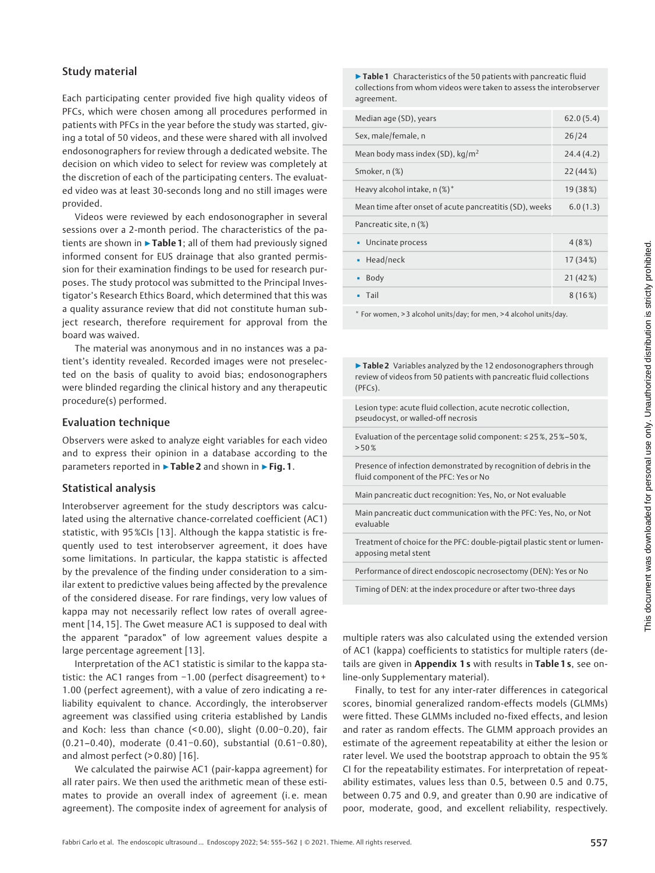## Study material

Each participating center provided five high quality videos of PFCs, which were chosen among all procedures performed in patients with PFCs in the year before the study was started, giving a total of 50 videos, and these were shared with all involved endosonographers for review through a dedicated website. The decision on which video to select for review was completely at the discretion of each of the participating centers. The evaluated video was at least 30-seconds long and no still images were provided.

Videos were reviewed by each endosonographer in several sessions over a 2-month period. The characteristics of the patients are shown in  $\triangleright$  Table 1; all of them had previously signed informed consent for EUS drainage that also granted permission for their examination findings to be used for research purposes. The study protocol was submitted to the Principal Investigator's Research Ethics Board, which determined that this was a quality assurance review that did not constitute human subject research, therefore requirement for approval from the board was waived.

The material was anonymous and in no instances was a patient's identity revealed. Recorded images were not preselected on the basis of quality to avoid bias; endosonographers were blinded regarding the clinical history and any therapeutic procedure(s) performed.

## Evaluation technique

Observers were asked to analyze eight variables for each video and to express their opinion in a database according to the parameters reported in ►Table 2 and shown in ►Fig. 1.

## Statistical analysis

Interobserver agreement for the study descriptors was calculated using the alternative chance-correlated coefficient (AC1) statistic, with 95%CIs [13]. Although the kappa statistic is frequently used to test interobserver agreement, it does have some limitations. In particular, the kappa statistic is affected by the prevalence of the finding under consideration to a similar extent to predictive values being affected by the prevalence of the considered disease. For rare findings, very low values of kappa may not necessarily reflect low rates of overall agreement [14, 15]. The Gwet measure AC1 is supposed to deal with the apparent "paradox" of low agreement values despite a large percentage agreement [13].

Interpretation of the AC1 statistic is similar to the kappa statistic: the AC1 ranges from −1.00 (perfect disagreement) to + 1.00 (perfect agreement), with a value of zero indicating a reliability equivalent to chance. Accordingly, the interobserver agreement was classified using criteria established by Landis and Koch: less than chance (< 0.00), slight (0.00−0.20), fair (0.21–0.40), moderate (0.41−0.60), substantial (0.61−0.80), and almost perfect (> 0.80) [16].

We calculated the pairwise AC1 (pair-kappa agreement) for all rater pairs. We then used the arithmetic mean of these estimates to provide an overall index of agreement (i. e. mean agreement). The composite index of agreement for analysis of

▶Table 1 Characteristics of the 50 patients with pancreatic fluid collections from whom videos were taken to assess the interobserver agreement.

| Median age (SD), years                                  | 62.0(5.4) |
|---------------------------------------------------------|-----------|
| Sex, male/female, n                                     | 26/24     |
| Mean body mass index (SD), $\text{kg/m}^2$              | 24.4(4.2) |
| Smoker, n (%)                                           | 22(44%)   |
| Heavy alcohol intake, n (%)*                            | 19 (38%)  |
| Mean time after onset of acute pancreatitis (SD), weeks | 6.0(1.3)  |
| Pancreatic site, n (%)                                  |           |
| • Uncinate process                                      | 4(8%)     |
| Head/neck                                               | 17(34%)   |
| Body                                                    | 21(42%)   |
| Tail                                                    | 8(16%)    |

\* For women, > 3 alcohol units/day; for men, > 4 alcohol units/day.

| • Table 2 Variables analyzed by the 12 endosonographers through<br>review of videos from 50 patients with pancreatic fluid collections<br>(PFCs). |
|---------------------------------------------------------------------------------------------------------------------------------------------------|
| Lesion type: acute fluid collection, acute necrotic collection,<br>pseudocyst, or walled-off necrosis                                             |
| Evaluation of the percentage solid component: $\leq$ 25%, 25%-50%,<br>>50%                                                                        |
| Presence of infection demonstrated by recognition of debris in the<br>fluid component of the PFC: Yes or No                                       |
| Main pancreatic duct recognition: Yes, No, or Not evaluable                                                                                       |
| Main pancreatic duct communication with the PFC: Yes, No, or Not<br>evaluable                                                                     |
| Treatment of choice for the PFC: double-pigtail plastic stent or lumen-<br>apposing metal stent                                                   |
| Performance of direct endoscopic necrosectomy (DEN): Yes or No                                                                                    |
| Timing of DEN: at the index procedure or after two-three days                                                                                     |

multiple raters was also calculated using the extended version of AC1 (kappa) coefficients to statistics for multiple raters (details are given in Appendix 1s with results in Table 1s, see online-only Supplementary material).

Finally, to test for any inter-rater differences in categorical scores, binomial generalized random-effects models (GLMMs) were fitted. These GLMMs included no-fixed effects, and lesion and rater as random effects. The GLMM approach provides an estimate of the agreement repeatability at either the lesion or rater level. We used the bootstrap approach to obtain the 95 % CI for the repeatability estimates. For interpretation of repeatability estimates, values less than 0.5, between 0.5 and 0.75, between 0.75 and 0.9, and greater than 0.90 are indicative of poor, moderate, good, and excellent reliability, respectively.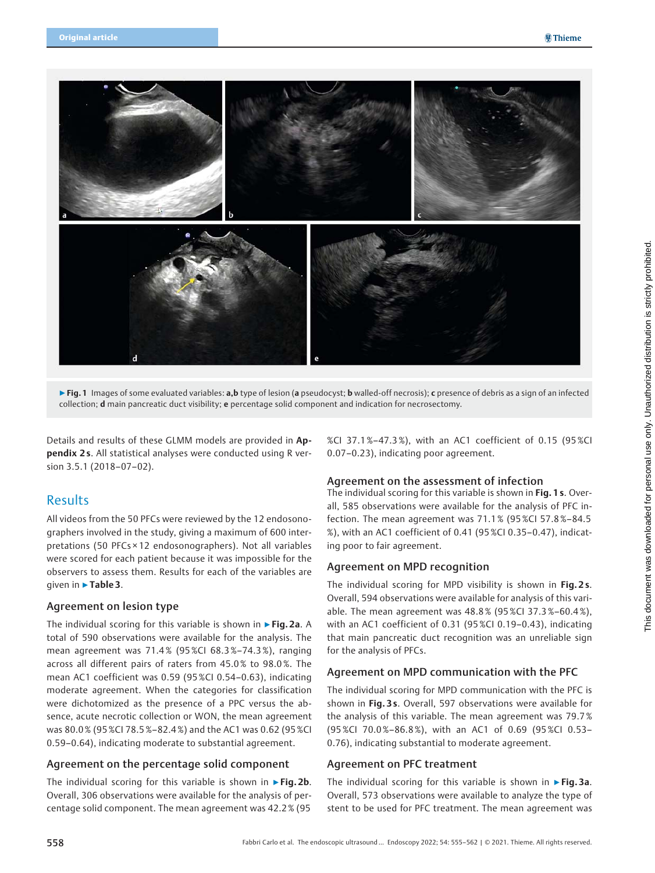

▶ Fig. 1 Images of some evaluated variables: a,b type of lesion (a pseudocyst; b walled-off necrosis); c presence of debris as a sign of an infected collection; d main pancreatic duct visibility; e percentage solid component and indication for necrosectomy.

Details and results of these GLMM models are provided in Appendix 2 s. All statistical analyses were conducted using R version 3.5.1 (2018–07–02).

## Results

All videos from the 50 PFCs were reviewed by the 12 endosonographers involved in the study, giving a maximum of 600 interpretations (50 PFCs × 12 endosonographers). Not all variables were scored for each patient because it was impossible for the observers to assess them. Results for each of the variables are given in ▶Table 3.

## Agreement on lesion type

The individual scoring for this variable is shown in ► Fig. 2a. A total of 590 observations were available for the analysis. The mean agreement was 71.4 % (95 %CI 68.3 %–74.3%), ranging across all different pairs of raters from 45.0 % to 98.0 %. The mean AC1 coefficient was 0.59 (95 %CI 0.54–0.63), indicating moderate agreement. When the categories for classification were dichotomized as the presence of a PPC versus the absence, acute necrotic collection or WON, the mean agreement was 80.0 % (95 %CI 78.5 %–82.4 %) and the AC1 was 0.62 (95 %CI 0.59–0.64), indicating moderate to substantial agreement.

### Agreement on the percentage solid component

The individual scoring for this variable is shown in  $\triangleright$  Fig. 2b. Overall, 306 observations were available for the analysis of percentage solid component. The mean agreement was 42.2 % (95 %CI 37.1%–47.3 %), with an AC1 coefficient of 0.15 (95 %CI 0.07–0.23), indicating poor agreement.

## Agreement on the assessment of infection

The individual scoring for this variable is shown in Fig. 1 s. Overall, 585 observations were available for the analysis of PFC infection. The mean agreement was 71.1 % (95 %CI 57.8 %–84.5 %), with an AC1 coefficient of 0.41 (95 %CI 0.35–0.47), indicating poor to fair agreement.

### Agreement on MPD recognition

The individual scoring for MPD visibility is shown in Fig. 2s. Overall, 594 observations were available for analysis of this variable. The mean agreement was 48.8 % (95 %CI 37.3 %–60.4 %), with an AC1 coefficient of 0.31 (95 %CI 0.19–0.43), indicating that main pancreatic duct recognition was an unreliable sign for the analysis of PFCs.

## Agreement on MPD communication with the PFC

The individual scoring for MPD communication with the PFC is shown in Fig. 3 s. Overall, 597 observations were available for the analysis of this variable. The mean agreement was 79.7 % (95%CI 70.0%–86.8 %), with an AC1 of 0.69 (95 %CI 0.53– 0.76), indicating substantial to moderate agreement.

### Agreement on PFC treatment

The individual scoring for this variable is shown in  $\triangleright$  Fig. 3a. Overall, 573 observations were available to analyze the type of stent to be used for PFC treatment. The mean agreement was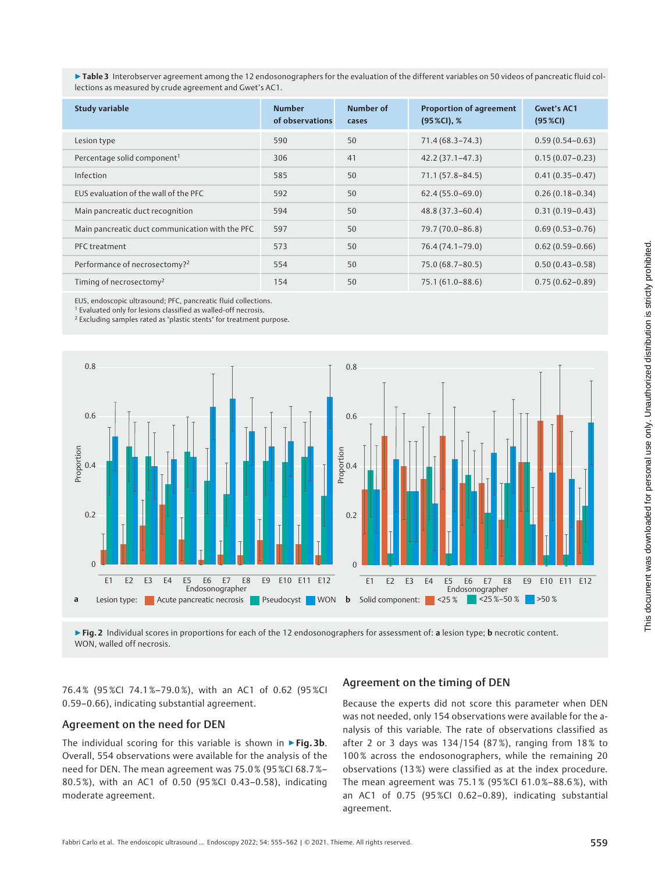▶Table 3 Interobserver agreement among the 12 endosonographers for the evaluation of the different variables on 50 videos of pancreatic fluid collections as measured by crude agreement and Gwet's AC1.

| <b>Study variable</b>                           | <b>Number</b><br>of observations | <b>Number of</b><br>cases | <b>Proportion of agreement</b><br>$(95\%CI)$ , % | <b>Gwet's AC1</b><br>(95 % <sup>o</sup> ) |
|-------------------------------------------------|----------------------------------|---------------------------|--------------------------------------------------|-------------------------------------------|
| Lesion type                                     | 590                              | 50                        | $71.4(68.3 - 74.3)$                              | $0.59(0.54 - 0.63)$                       |
| Percentage solid component <sup>1</sup>         | 306                              | 41                        | $42.2(37.1 - 47.3)$                              | $0.15(0.07 - 0.23)$                       |
| Infection                                       | 585                              | 50                        | $71.1(57.8 - 84.5)$                              | $0.41(0.35 - 0.47)$                       |
| EUS evaluation of the wall of the PFC           | 592                              | 50                        | $62.4(55.0-69.0)$                                | $0.26(0.18 - 0.34)$                       |
| Main pancreatic duct recognition                | 594                              | 50                        | $48.8(37.3 - 60.4)$                              | $0.31(0.19 - 0.43)$                       |
| Main pancreatic duct communication with the PFC | 597                              | 50                        | 79.7 (70.0-86.8)                                 | $0.69(0.53 - 0.76)$                       |
| PFC treatment                                   | 573                              | 50                        | 76.4 (74.1-79.0)                                 | $0.62(0.59 - 0.66)$                       |
| Performance of necrosectomy? <sup>2</sup>       | 554                              | 50                        | 75.0 (68.7-80.5)                                 | $0.50(0.43 - 0.58)$                       |
| Timing of necrosectomy <sup>2</sup>             | 154                              | 50                        | $75.1(61.0 - 88.6)$                              | $0.75(0.62 - 0.89)$                       |

EUS, endoscopic ultrasound; PFC, pancreatic fluid collections.

<sup>1</sup> Evaluated only for lesions classified as walled-off necrosis.

<sup>2</sup> Excluding samples rated as "plastic stents" for treatment purpose.



▶Fig. 2 Individual scores in proportions for each of the 12 endosonographers for assessment of: a lesion type; b necrotic content. WON, walled off necrosis.

76.4% (95 %CI 74.1%–79.0 %), with an AC1 of 0.62 (95 %CI 0.59–0.66), indicating substantial agreement.

### Agreement on the need for DEN

The individual scoring for this variable is shown in  $\triangleright$  Fig. 3b. Overall, 554 observations were available for the analysis of the need for DEN. The mean agreement was 75.0 % (95 %CI 68.7 %– 80.5 %), with an AC1 of 0.50 (95 %CI 0.43–0.58), indicating moderate agreement.

### Agreement on the timing of DEN

Because the experts did not score this parameter when DEN was not needed, only 154 observations were available for the analysis of this variable. The rate of observations classified as after 2 or 3 days was 134/154 (87%), ranging from 18% to 100 % across the endosonographers, while the remaining 20 observations (13 %) were classified as at the index procedure. The mean agreement was 75.1 % (95 %CI 61.0 %–88.6%), with an AC1 of 0.75 (95 %CI 0.62–0.89), indicating substantial agreement.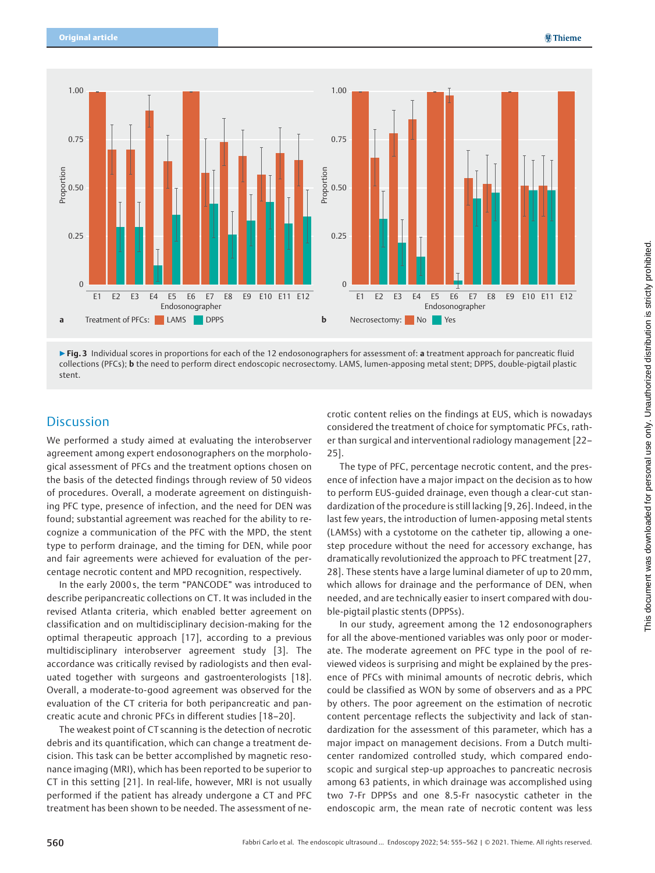

▶ Fig. 3 Individual scores in proportions for each of the 12 endosonographers for assessment of: a treatment approach for pancreatic fluid collections (PFCs); b the need to perform direct endoscopic necrosectomy. LAMS, lumen-apposing metal stent; DPPS, double-pigtail plastic stent.

## **Discussion**

We performed a study aimed at evaluating the interobserver agreement among expert endosonographers on the morphological assessment of PFCs and the treatment options chosen on the basis of the detected findings through review of 50 videos of procedures. Overall, a moderate agreement on distinguishing PFC type, presence of infection, and the need for DEN was found; substantial agreement was reached for the ability to recognize a communication of the PFC with the MPD, the stent type to perform drainage, and the timing for DEN, while poor and fair agreements were achieved for evaluation of the percentage necrotic content and MPD recognition, respectively.

In the early 2000 s, the term "PANCODE" was introduced to describe peripancreatic collections on CT. It was included in the revised Atlanta criteria, which enabled better agreement on classification and on multidisciplinary decision-making for the optimal therapeutic approach [17], according to a previous multidisciplinary interobserver agreement study [3]. The accordance was critically revised by radiologists and then evaluated together with surgeons and gastroenterologists [18]. Overall, a moderate-to-good agreement was observed for the evaluation of the CT criteria for both peripancreatic and pancreatic acute and chronic PFCs in different studies [18–20].

The weakest point of CT scanning is the detection of necrotic debris and its quantification, which can change a treatment decision. This task can be better accomplished by magnetic resonance imaging (MRI), which has been reported to be superior to CT in this setting [21]. In real-life, however, MRI is not usually performed if the patient has already undergone a CT and PFC treatment has been shown to be needed. The assessment of necrotic content relies on the findings at EUS, which is nowadays considered the treatment of choice for symptomatic PFCs, rather than surgical and interventional radiology management [22– 25].

The type of PFC, percentage necrotic content, and the presence of infection have a major impact on the decision as to how to perform EUS-guided drainage, even though a clear-cut standardization of the procedure is still lacking [9, 26]. Indeed, in the last few years, the introduction of lumen-apposing metal stents (LAMSs) with a cystotome on the catheter tip, allowing a onestep procedure without the need for accessory exchange, has dramatically revolutionized the approach to PFC treatment [27, 28]. These stents have a large luminal diameter of up to 20mm, which allows for drainage and the performance of DEN, when needed, and are technically easier to insert compared with double-pigtail plastic stents (DPPSs).

In our study, agreement among the 12 endosonographers for all the above-mentioned variables was only poor or moderate. The moderate agreement on PFC type in the pool of reviewed videos is surprising and might be explained by the presence of PFCs with minimal amounts of necrotic debris, which could be classified as WON by some of observers and as a PPC by others. The poor agreement on the estimation of necrotic content percentage reflects the subjectivity and lack of standardization for the assessment of this parameter, which has a major impact on management decisions. From a Dutch multicenter randomized controlled study, which compared endoscopic and surgical step-up approaches to pancreatic necrosis among 63 patients, in which drainage was accomplished using two 7-Fr DPPSs and one 8.5-Fr nasocystic catheter in the endoscopic arm, the mean rate of necrotic content was less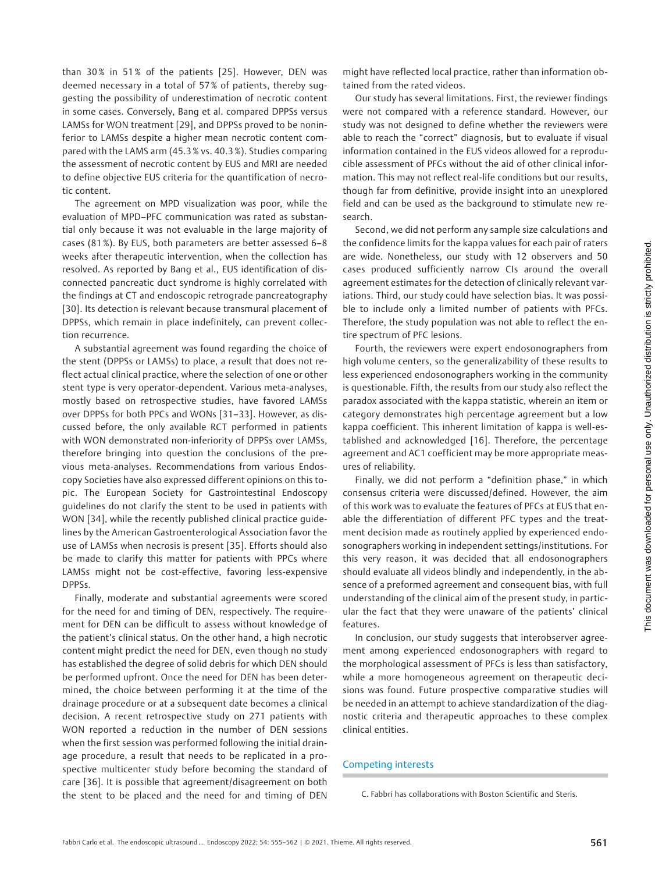than 30% in 51% of the patients [25]. However, DEN was deemed necessary in a total of 57 % of patients, thereby suggesting the possibility of underestimation of necrotic content in some cases. Conversely, Bang et al. compared DPPSs versus LAMSs for WON treatment [29], and DPPSs proved to be noninferior to LAMSs despite a higher mean necrotic content compared with the LAMS arm (45.3 % vs. 40.3 %). Studies comparing the assessment of necrotic content by EUS and MRI are needed to define objective EUS criteria for the quantification of necrotic content.

The agreement on MPD visualization was poor, while the evaluation of MPD–PFC communication was rated as substantial only because it was not evaluable in the large majority of cases (81 %). By EUS, both parameters are better assessed 6–8 weeks after therapeutic intervention, when the collection has resolved. As reported by Bang et al., EUS identification of disconnected pancreatic duct syndrome is highly correlated with the findings at CT and endoscopic retrograde pancreatography [30]. Its detection is relevant because transmural placement of DPPSs, which remain in place indefinitely, can prevent collection recurrence.

A substantial agreement was found regarding the choice of the stent (DPPSs or LAMSs) to place, a result that does not reflect actual clinical practice, where the selection of one or other stent type is very operator-dependent. Various meta-analyses, mostly based on retrospective studies, have favored LAMSs over DPPSs for both PPCs and WONs [31–33]. However, as discussed before, the only available RCT performed in patients with WON demonstrated non-inferiority of DPPSs over LAMSs, therefore bringing into question the conclusions of the previous meta-analyses. Recommendations from various Endoscopy Societies have also expressed different opinions on this topic. The European Society for Gastrointestinal Endoscopy guidelines do not clarify the stent to be used in patients with WON [34], while the recently published clinical practice guidelines by the American Gastroenterological Association favor the use of LAMSs when necrosis is present [35]. Efforts should also be made to clarify this matter for patients with PPCs where LAMSs might not be cost-effective, favoring less-expensive DPPSs.

Finally, moderate and substantial agreements were scored for the need for and timing of DEN, respectively. The requirement for DEN can be difficult to assess without knowledge of the patient's clinical status. On the other hand, a high necrotic content might predict the need for DEN, even though no study has established the degree of solid debris for which DEN should be performed upfront. Once the need for DEN has been determined, the choice between performing it at the time of the drainage procedure or at a subsequent date becomes a clinical decision. A recent retrospective study on 271 patients with WON reported a reduction in the number of DEN sessions when the first session was performed following the initial drainage procedure, a result that needs to be replicated in a prospective multicenter study before becoming the standard of care [36]. It is possible that agreement/disagreement on both the stent to be placed and the need for and timing of DEN

might have reflected local practice, rather than information obtained from the rated videos.

Our study has several limitations. First, the reviewer findings were not compared with a reference standard. However, our study was not designed to define whether the reviewers were able to reach the "correct" diagnosis, but to evaluate if visual information contained in the EUS videos allowed for a reproducible assessment of PFCs without the aid of other clinical information. This may not reflect real-life conditions but our results, though far from definitive, provide insight into an unexplored field and can be used as the background to stimulate new research.

Second, we did not perform any sample size calculations and the confidence limits for the kappa values for each pair of raters are wide. Nonetheless, our study with 12 observers and 50 cases produced sufficiently narrow CIs around the overall agreement estimates for the detection of clinically relevant variations. Third, our study could have selection bias. It was possible to include only a limited number of patients with PFCs. Therefore, the study population was not able to reflect the entire spectrum of PFC lesions.

Fourth, the reviewers were expert endosonographers from high volume centers, so the generalizability of these results to less experienced endosonographers working in the community is questionable. Fifth, the results from our study also reflect the paradox associated with the kappa statistic, wherein an item or category demonstrates high percentage agreement but a low kappa coefficient. This inherent limitation of kappa is well-established and acknowledged [16]. Therefore, the percentage agreement and AC1 coefficient may be more appropriate measures of reliability.

Finally, we did not perform a "definition phase," in which consensus criteria were discussed/defined. However, the aim of this work was to evaluate the features of PFCs at EUS that enable the differentiation of different PFC types and the treatment decision made as routinely applied by experienced endosonographers working in independent settings/institutions. For this very reason, it was decided that all endosonographers should evaluate all videos blindly and independently, in the absence of a preformed agreement and consequent bias, with full understanding of the clinical aim of the present study, in particular the fact that they were unaware of the patients' clinical features.

In conclusion, our study suggests that interobserver agreement among experienced endosonographers with regard to the morphological assessment of PFCs is less than satisfactory, while a more homogeneous agreement on therapeutic decisions was found. Future prospective comparative studies will be needed in an attempt to achieve standardization of the diagnostic criteria and therapeutic approaches to these complex clinical entities.

### Competing interests

C. Fabbri has collaborations with Boston Scientific and Steris.